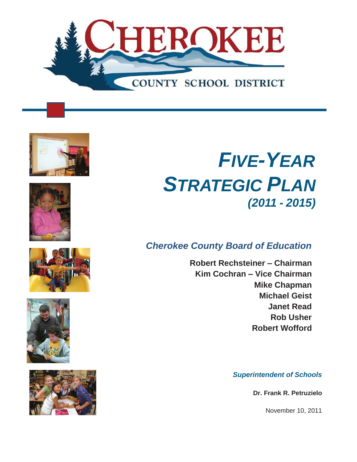











# *FIVE-YEAR STRATEGIC PLAN (2011 - 2015)*

# *Cherokee County Board of Education*

**Robert Rechsteiner – Chairman Kim Cochran – Vice Chairman Mike Chapman Michael Geist Janet Read Rob Usher Robert Wofford** 

*Superintendent of Schools* 

**Dr. Frank R. Petruzielo** 

November 10, 2011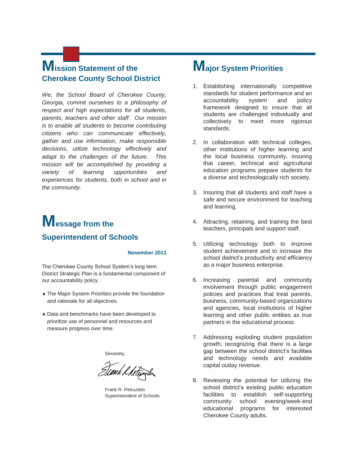# **Mission Statement of the Cherokee County School District**

*We, the School Board of Cherokee County, Georgia, commit ourselves to a philosophy of respect and high expectations for all students, parents, teachers and other staff. Our mission is to enable all students to become contributing citizens who can communicate effectively, gather and use information, make responsible decisions, utilize technology effectively and adapt to the challenges of the future. This mission will be accomplished by providing a variety of learning opportunities and experiences for students, both in school and in the community.* 

# **Message from the Superintendent of Schools**

#### **November 2011**

The Cherokee County School System's long term District Strategic Plan is a fundamental component of our accountability policy.

- $\bullet$  The Major System Priorities provide the foundation and rationale for all objectives.
- $\bullet$  Data and benchmarks have been developed to prioritize use of personnel and resources and measure progress over time.

Sincerely,

Timk & hetsing

Frank R. Petruzielo Superintendent of Schools

# **Major System Priorities**

- 1. Establishing internationally competitive standards for student performance and an accountability system and policy framework designed to insure that all students are challenged individually and collectively to meet more rigorous standards.
- 2. In collaboration with technical colleges, other institutions of higher learning and the local business community, insuring that career, technical and agricultural education programs prepare students for a diverse and technologically rich society.
- 3. Insuring that all students and staff have a safe and secure environment for teaching and learning.
- 4. Attracting, retaining, and training the best teachers, principals and support staff.
- 5. Utilizing technology both to improve student achievement and to increase the school district's productivity and efficiency as a major business enterprise.
- 6. Increasing parental and community involvement through public engagement policies and practices that treat parents, business, community-based organizations and agencies, local institutions of higher learning and other public entities as true partners in the educational process.
- 7. Addressing exploding student population growth, recognizing that there is a large gap between the school district's facilities and technology needs and available capital outlay revenue.
- 8. Reviewing the potential for utilizing the school district's existing public education facilities to establish self-supporting community school evening/week-end educational programs for interested Cherokee County adults.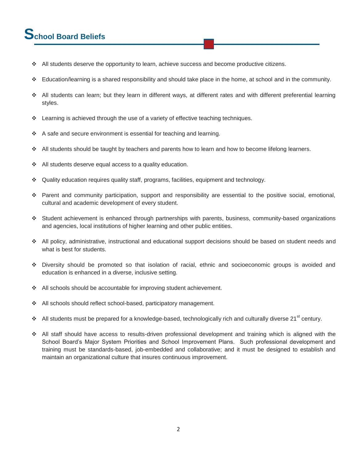# **School Board Beliefs**

- All students deserve the opportunity to learn, achieve success and become productive citizens.
- $\div$  Education/learning is a shared responsibility and should take place in the home, at school and in the community.
- All students can learn; but they learn in different ways, at different rates and with different preferential learning styles.
- $\div$  Learning is achieved through the use of a variety of effective teaching techniques.
- $\div$  A safe and secure environment is essential for teaching and learning.
- $\div$  All students should be taught by teachers and parents how to learn and how to become lifelong learners.
- $\div$  All students deserve equal access to a quality education.
- Quality education requires quality staff, programs, facilities, equipment and technology.
- Parent and community participation, support and responsibility are essential to the positive social, emotional, cultural and academic development of every student.
- Student achievement is enhanced through partnerships with parents, business, community-based organizations and agencies, local institutions of higher learning and other public entities.
- All policy, administrative, instructional and educational support decisions should be based on student needs and what is best for students.
- Diversity should be promoted so that isolation of racial, ethnic and socioeconomic groups is avoided and education is enhanced in a diverse, inclusive setting.
- ◆ All schools should be accountable for improving student achievement.
- All schools should reflect school-based, participatory management.
- $\cdot$  All students must be prepared for a knowledge-based, technologically rich and culturally diverse 21<sup>st</sup> century.
- All staff should have access to results-driven professional development and training which is aligned with the School Board's Major System Priorities and School Improvement Plans. Such professional development and training must be standards-based, job-embedded and collaborative; and it must be designed to establish and maintain an organizational culture that insures continuous improvement.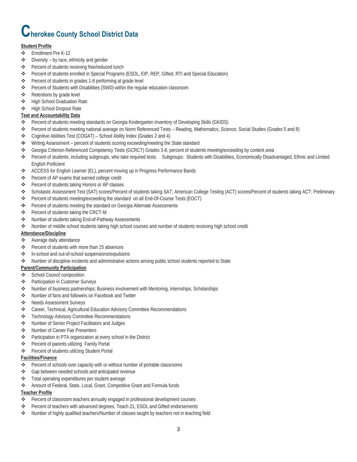# **Cherokee County School District Data**

#### **Student Profile**

- Enrollment Pre K-12
- $\triangle$  Diversity by race, ethnicity and gender
- Percent of students receiving free/reduced lunch
- Percent of students enrolled in Special Programs (ESOL, EIP, REP, Gifted, RTI and Special Education)
- Percent of students in grades 1-8 performing at grade level
- Percent of Students with Disabilities (SWD) within the regular education classroom
- ❖ Retentions by grade level
- High School Graduation Rate
- High School Dropout Rate

#### **Test and Accountability Data**

- Percent of students meeting standards on Georgia Kindergarten Inventory of Developing Skills (GKIDS)
- Percent of students meeting national average on Norm Referenced Tests Reading, Mathematics, Science, Social Studies (Grades 5 and 8)
- Cognitive Abilities Test (COGAT) School Ability Index (Grades 2 and 4)
- Writing Assessment percent of students scoring exceeding/meeting the State standard
- Georgia Criterion-Referenced Competency Tests (GCRCT) Grades 3-8, percent of students meeting/exceeding by content area
- Percent of students, including subgroups, who take required tests. Subgroups: Students with Disabilities, Economically Disadvantaged, Ethnic and Limited English Proficient
- ACCESS for English Learner (EL), percent moving up in Progress Performance Bands
- Percent of AP exams that earned college credit
- Percent of students taking Honors or AP classes
- Scholastic Assessment Test (SAT) scores/Percent of students taking SAT; American College Testing (ACT) scores/Percent of students taking ACT; Preliminary
- Percent of students meeting/exceeding the standard on all End-Of-Course Tests (EOCT)
- $\bigoplus$  Percent of students meeting the standard on Georgia Alternate Assessments
- ❖ Percent of students taking the CRCT-M
- ❖ Number of students taking End-of-Pathway Assessments
- Number of middle school students taking high school courses and number of students receiving high school credit

#### **Attendance/Discipline**

- Average daily attendance
- Percent of students with more than 15 absences
- In-school and out-of-school suspensions/expulsions
- Number of discipline incidents and administrative actions among public school students reported to State

#### **Parent/Community Participation**

- ❖ School Council composition
- Participation in Customer Surveys
- Number of business partnerships; Business involvement with Mentoring, Internships, Scholarships
- Number of fans and followers on Facebook and Twitter
- ❖ Needs Assessment Surveys
- Career, Technical, Agricultural Education Advisory Committee Recommendations
- Technology Advisory Committee Recommendations
- ◆ Number of Senior Project Facilitators and Judges
- ◆ Number of Career Fair Presenters
- Participation in PTA organization at every school in the District
- ◆ Percent of parents utilizing Family Portal
- Percent of students utilizing Student Portal

#### **Facilities/Finance**

- Percent of schools over capacity with or without number of portable classrooms
- Gap between needed schools and anticipated revenue
- Total operating expenditures per student average
- Amount of Federal, State, Local, Grant, Competitive Grant and Formula funds

#### **Teacher Profile**

- \* Percent of classroom teachers annually engaged in professional development courses
- Percent of teachers with advanced degrees, Teach 21, ESOL and Gifted endorsements
- \* Number of highly qualified teachers/Number of classes taught by teachers not in teaching field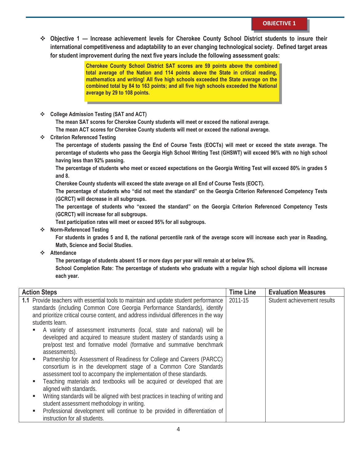**Objective 1 — Increase achievement levels for Cherokee County School District students to insure their international competitiveness and adaptability to an ever changing technological society. Defined target areas for student improvement during the next five years include the following assessment goals:** 

> **Cherokee County School District SAT scores are 59 points above the combined total average of the Nation and 114 points above the State in critical reading, mathematics and writing! All five high schools exceeded the State average on the combined total by 84 to 163 points; and all five high schools exceeded the National average by 29 to 108 points.**

**College Admission Testing (SAT and ACT)** 

**The mean SAT scores for Cherokee County students will meet or exceed the national average.** 

**The mean ACT scores for Cherokee County students will meet or exceed the national average.** 

**Criterion Referenced Testing** 

**The percentage of students passing the End of Course Tests (EOCTs) will meet or exceed the state average. The percentage of students who pass the Georgia High School Writing Test (GHSWT) will exceed 96% with no high school having less than 92% passing.** 

**The percentage of students who meet or exceed expectations on the Georgia Writing Test will exceed 80% in grades 5 and 8.** 

**Cherokee County students will exceed the state average on all End of Course Tests (EOCT).** 

**The percentage of students who "did not meet the standard" on the Georgia Criterion Referenced Competency Tests (GCRCT) will decrease in all subgroups.** 

**The percentage of students who "exceed the standard" on the Georgia Criterion Referenced Competency Tests (GCRCT) will increase for all subgroups.** 

**Test participation rates will meet or exceed 95% for all subgroups.** 

**Norm-Referenced Testing** 

**For students in grades 5 and 8, the national percentile rank of the average score will increase each year in Reading, Math, Science and Social Studies.** 

**Attendance** 

**The percentage of students absent 15 or more days per year will remain at or below 5%.** 

**School Completion Rate: The percentage of students who graduate with a regular high school diploma will increase each year.** 

| <b>Action Steps</b>                                                                                                                                                                                                                                                                                                                                                                                                                                                                                                                                                                                                                                                                                                                                                                                                                                                                                                                                                                                                                                                                                                            | <b>Time Line</b> | <b>Evaluation Measures</b>  |
|--------------------------------------------------------------------------------------------------------------------------------------------------------------------------------------------------------------------------------------------------------------------------------------------------------------------------------------------------------------------------------------------------------------------------------------------------------------------------------------------------------------------------------------------------------------------------------------------------------------------------------------------------------------------------------------------------------------------------------------------------------------------------------------------------------------------------------------------------------------------------------------------------------------------------------------------------------------------------------------------------------------------------------------------------------------------------------------------------------------------------------|------------------|-----------------------------|
| 1.1 Provide teachers with essential tools to maintain and update student performance<br>standards (including Common Core Georgia Performance Standards), identify<br>and prioritize critical course content, and address individual differences in the way<br>students learn.<br>A variety of assessment instruments (local, state and national) will be<br>developed and acquired to measure student mastery of standards using a<br>pre/post test and formative model (formative and summative benchmark<br>assessments).<br>Partnership for Assessment of Readiness for College and Careers (PARCC)<br>٠<br>consortium is in the development stage of a Common Core Standards<br>assessment tool to accompany the implementation of these standards.<br>Teaching materials and textbooks will be acquired or developed that are<br>٠<br>aligned with standards.<br>Writing standards will be aligned with best practices in teaching of writing and<br>٠<br>student assessment methodology in writing.<br>Professional development will continue to be provided in differentiation of<br>٠<br>instruction for all students. | 2011-15          | Student achievement results |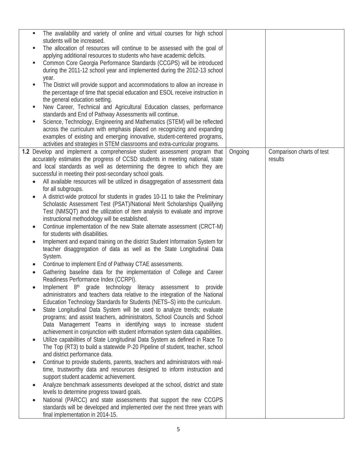| The availability and variety of online and virtual courses for high school<br>٠<br>students will be increased.                                            |         |                           |
|-----------------------------------------------------------------------------------------------------------------------------------------------------------|---------|---------------------------|
| The allocation of resources will continue to be assessed with the goal of                                                                                 |         |                           |
| applying additional resources to students who have academic deficits.                                                                                     |         |                           |
| Common Core Georgia Performance Standards (CCGPS) will be introduced<br>٠<br>during the 2011-12 school year and implemented during the 2012-13 school     |         |                           |
| year.                                                                                                                                                     |         |                           |
| The District will provide support and accommodations to allow an increase in<br>٠                                                                         |         |                           |
| the percentage of time that special education and ESOL receive instruction in                                                                             |         |                           |
| the general education setting.                                                                                                                            |         |                           |
| New Career, Technical and Agricultural Education classes, performance<br>standards and End of Pathway Assessments will continue.                          |         |                           |
| Science, Technology, Engineering and Mathematics (STEM) will be reflected                                                                                 |         |                           |
| across the curriculum with emphasis placed on recognizing and expanding                                                                                   |         |                           |
| examples of existing and emerging innovative, student-centered programs,                                                                                  |         |                           |
| activities and strategies in STEM classrooms and extra-curricular programs.<br>1.2 Develop and implement a comprehensive student assessment program that  | Ongoing | Comparison charts of test |
| accurately estimates the progress of CCSD students in meeting national, state                                                                             |         | results                   |
| and local standards as well as determining the degree to which they are                                                                                   |         |                           |
| successful in meeting their post-secondary school goals.                                                                                                  |         |                           |
| All available resources will be utilized in disaggregation of assessment data                                                                             |         |                           |
| for all subgroups.                                                                                                                                        |         |                           |
| A district-wide protocol for students in grades 10-11 to take the Preliminary<br>Scholastic Assessment Test (PSAT)/National Merit Scholarships Qualifying |         |                           |
| Test (NMSQT) and the utilization of item analysis to evaluate and improve                                                                                 |         |                           |
| instructional methodology will be established.                                                                                                            |         |                           |
| Continue implementation of the new State alternate assessment (CRCT-M)<br>for students with disabilities.                                                 |         |                           |
| Implement and expand training on the district Student Information System for<br>٠                                                                         |         |                           |
| teacher disaggregation of data as well as the State Longitudinal Data<br>System.                                                                          |         |                           |
| Continue to implement End of Pathway CTAE assessments.                                                                                                    |         |                           |
| Gathering baseline data for the implementation of College and Career                                                                                      |         |                           |
| Readiness Performance Index (CCRPI).<br>Implement 8 <sup>th</sup> grade technology literacy assessment to provide                                         |         |                           |
| administrators and teachers data relative to the integration of the National                                                                              |         |                           |
| Education Technology Standards for Students (NETS-S) into the curriculum.                                                                                 |         |                           |
| State Longitudinal Data System will be used to analyze trends; evaluate                                                                                   |         |                           |
| programs; and assist teachers, administrators, School Councils and School                                                                                 |         |                           |
| Data Management Teams in identifying ways to increase student<br>achievement in conjunction with student information system data capabilities.            |         |                           |
| Utilize capabilities of State Longitudinal Data System as defined in Race To<br>$\bullet$                                                                 |         |                           |
| The Top (RT3) to build a statewide P-20 Pipeline of student, teacher, school                                                                              |         |                           |
| and district performance data.                                                                                                                            |         |                           |
| Continue to provide students, parents, teachers and administrators with real-<br>$\bullet$                                                                |         |                           |
| time, trustworthy data and resources designed to inform instruction and<br>support student academic achievement.                                          |         |                           |
| Analyze benchmark assessments developed at the school, district and state                                                                                 |         |                           |
| levels to determine progress toward goals.                                                                                                                |         |                           |
| National (PARCC) and state assessments that support the new CCGPS<br>$\bullet$                                                                            |         |                           |
| standards will be developed and implemented over the next three years with<br>final implementation in 2014-15.                                            |         |                           |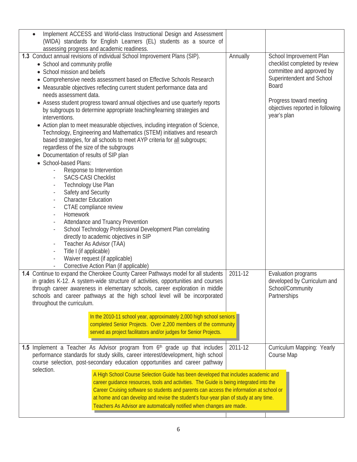| Annually                                                                                                                                                                                                                                                                                                                                                                                                                                    | School Improvement Plan<br>checklist completed by review<br>committee and approved by<br>Superintendent and School<br>Board<br>Progress toward meeting<br>objectives reported in following<br>year's plan |
|---------------------------------------------------------------------------------------------------------------------------------------------------------------------------------------------------------------------------------------------------------------------------------------------------------------------------------------------------------------------------------------------------------------------------------------------|-----------------------------------------------------------------------------------------------------------------------------------------------------------------------------------------------------------|
|                                                                                                                                                                                                                                                                                                                                                                                                                                             |                                                                                                                                                                                                           |
|                                                                                                                                                                                                                                                                                                                                                                                                                                             |                                                                                                                                                                                                           |
| In the 2010-11 school year, approximately 2,000 high school seniors<br>completed Senior Projects. Over 2,200 members of the community                                                                                                                                                                                                                                                                                                       | Evaluation programs<br>developed by Curriculum and<br>School/Community<br>Partnerships                                                                                                                    |
|                                                                                                                                                                                                                                                                                                                                                                                                                                             |                                                                                                                                                                                                           |
| A High School Course Selection Guide has been developed that includes academic and<br>career guidance resources, tools and activities. The Guide is being integrated into the<br>Career Cruising software so students and parents can access the information at school or<br>at home and can develop and revise the student's four-year plan of study at any time.<br>Teachers As Advisor are automatically notified when changes are made. | Curriculum Mapping: Yearly<br>Course Map                                                                                                                                                                  |
|                                                                                                                                                                                                                                                                                                                                                                                                                                             | 2011-12<br>2011-12                                                                                                                                                                                        |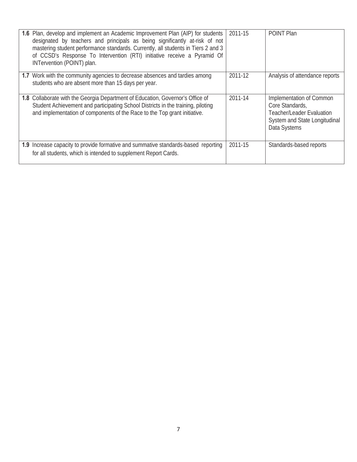| 1.6 Plan, develop and implement an Academic Improvement Plan (AIP) for students<br>designated by teachers and principals as being significantly at-risk of not<br>mastering student performance standards. Currently, all students in Tiers 2 and 3<br>of CCSD's Response To Intervention (RTI) initiative receive a Pyramid Of<br>INTervention (POINT) plan. | 2011-15 | POINT Plan                                                                                                                       |
|---------------------------------------------------------------------------------------------------------------------------------------------------------------------------------------------------------------------------------------------------------------------------------------------------------------------------------------------------------------|---------|----------------------------------------------------------------------------------------------------------------------------------|
| 1.7 Work with the community agencies to decrease absences and tardies among<br>students who are absent more than 15 days per year.                                                                                                                                                                                                                            | 2011-12 | Analysis of attendance reports                                                                                                   |
| 1.8 Collaborate with the Georgia Department of Education, Governor's Office of<br>Student Achievement and participating School Districts in the training, piloting<br>and implementation of components of the Race to the Top grant initiative.                                                                                                               | 2011-14 | Implementation of Common<br>Core Standards,<br><b>Teacher/Leader Evaluation</b><br>System and State Longitudinal<br>Data Systems |
| <b>1.9</b> Increase capacity to provide formative and summative standards-based reporting<br>for all students, which is intended to supplement Report Cards.                                                                                                                                                                                                  | 2011-15 | Standards-based reports                                                                                                          |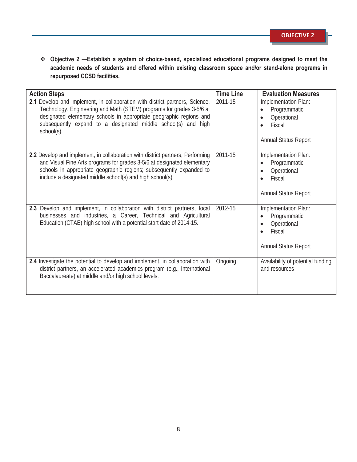**Objective 2 —Establish a system of choice-based, specialized educational programs designed to meet the academic needs of students and offered within existing classroom space and/or stand-alone programs in repurposed CCSD facilities.** 

| <b>Action Steps</b>                                                                                                                                                                                                                                                                                        | <b>Time Line</b> | <b>Evaluation Measures</b>                                                                                      |
|------------------------------------------------------------------------------------------------------------------------------------------------------------------------------------------------------------------------------------------------------------------------------------------------------------|------------------|-----------------------------------------------------------------------------------------------------------------|
| 2.1 Develop and implement, in collaboration with district partners, Science,<br>Technology, Engineering and Math (STEM) programs for grades 3-5/6 at<br>designated elementary schools in appropriate geographic regions and<br>subsequently expand to a designated middle school(s) and high<br>school(s). | 2011-15          | Implementation Plan:<br>Programmatic<br>Operational<br>Fiscal<br><b>Annual Status Report</b>                    |
| 2.2 Develop and implement, in collaboration with district partners, Performing<br>and Visual Fine Arts programs for grades 3-5/6 at designated elementary<br>schools in appropriate geographic regions; subsequently expanded to<br>include a designated middle school(s) and high school(s).              | 2011-15          | Implementation Plan:<br>Programmatic<br>$\bullet$<br>Operational<br>$\bullet$<br>Fiscal<br>Annual Status Report |
| 2.3 Develop and implement, in collaboration with district partners, local<br>businesses and industries, a Career, Technical and Agricultural<br>Education (CTAE) high school with a potential start date of 2014-15.                                                                                       | 2012-15          | Implementation Plan:<br>Programmatic<br>Operational<br>Fiscal<br>$\bullet$<br><b>Annual Status Report</b>       |
| 2.4 Investigate the potential to develop and implement, in collaboration with<br>district partners, an accelerated academics program (e.g., International<br>Baccalaureate) at middle and/or high school levels.                                                                                           | Ongoing          | Availability of potential funding<br>and resources                                                              |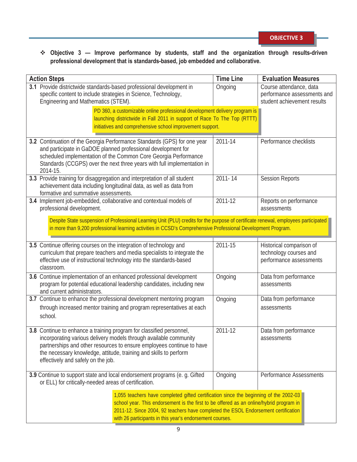**Objective 3 — Improve performance by students, staff and the organization through results-driven professional development that is standards-based, job embedded and collaborative.** 

| <b>Action Steps</b>                                                                                                                                                                                                                                                                                                                | <b>Time Line</b> | <b>Evaluation Measures</b>                                                            |  |
|------------------------------------------------------------------------------------------------------------------------------------------------------------------------------------------------------------------------------------------------------------------------------------------------------------------------------------|------------------|---------------------------------------------------------------------------------------|--|
| 3.1 Provide districtwide standards-based professional development in<br>specific content to include strategies in Science, Technology,<br>Engineering and Mathematics (STEM).                                                                                                                                                      | Ongoing          | Course attendance, data<br>performance assessments and<br>student achievement results |  |
| PD 360, a customizable online professional development delivery program is<br>launching districtwide in Fall 2011 in support of Race To The Top (RTTT)<br>initiatives and comprehensive school improvement support.                                                                                                                |                  |                                                                                       |  |
| 3.2 Continuation of the Georgia Performance Standards (GPS) for one year<br>and participate in GaDOE planned professional development for<br>scheduled implementation of the Common Core Georgia Performance<br>Standards (CCGPS) over the next three years with full implementation in<br>2014-15.                                | 2011-14          | Performance checklists                                                                |  |
| 3.3 Provide training for disaggregation and interpretation of all student<br>achievement data including longitudinal data, as well as data from<br>formative and summative assessments.                                                                                                                                            | $2011 - 14$      | <b>Session Reports</b>                                                                |  |
| 3.4 Implement job-embedded, collaborative and contextual models of<br>professional development.                                                                                                                                                                                                                                    | 2011-12          | Reports on performance<br>assessments                                                 |  |
| Despite State suspension of Professional Learning Unit (PLU) credits for the purpose of certificate renewal, employees participated<br>in more than 9,200 professional learning activities in CCSD's Comprehensive Professional Development Program.                                                                               |                  |                                                                                       |  |
| 3.5 Continue offering courses on the integration of technology and<br>curriculum that prepare teachers and media specialists to integrate the<br>effective use of instructional technology into the standards-based<br>classroom.                                                                                                  | 2011-15          | Historical comparison of<br>technology courses and<br>performance assessments         |  |
| 3.6 Continue implementation of an enhanced professional development<br>program for potential educational leadership candidates, including new<br>and current administrators.                                                                                                                                                       | Ongoing          | Data from performance<br>assessments                                                  |  |
| 3.7 Continue to enhance the professional development mentoring program<br>through increased mentor training and program representatives at each<br>school.                                                                                                                                                                         | Ongoing          | Data from performance<br>assessments                                                  |  |
| 3.8 Continue to enhance a training program for classified personnel,<br>incorporating various delivery models through available community<br>partnerships and other resources to ensure employees continue to have<br>the necessary knowledge, attitude, training and skills to perform<br>effectively and safely on the job.      | 2011-12          | Data from performance<br>assessments                                                  |  |
| 3.9 Continue to support state and local endorsement programs (e. g. Gifted<br>or ELL) for critically-needed areas of certification.                                                                                                                                                                                                | Ongoing          | <b>Performance Assessments</b>                                                        |  |
| 1,055 teachers have completed gifted certification since the beginning of the 2002-03<br>school year. This endorsement is the first to be offered as an online/hybrid program in<br>2011-12. Since 2004, 92 teachers have completed the ESOL Endorsement certification<br>with 26 participants in this year's endorsement courses. |                  |                                                                                       |  |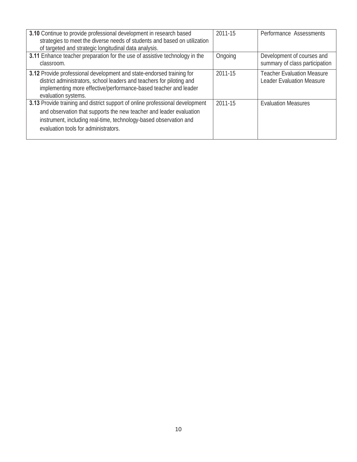| 3.10 Continue to provide professional development in research based<br>strategies to meet the diverse needs of students and based on utilization<br>of targeted and strategic longitudinal data analysis.                                                         | 2011-15 | Performance Assessments                                               |
|-------------------------------------------------------------------------------------------------------------------------------------------------------------------------------------------------------------------------------------------------------------------|---------|-----------------------------------------------------------------------|
| 3.11 Enhance teacher preparation for the use of assistive technology in the<br>classroom.                                                                                                                                                                         | Ongoing | Development of courses and<br>summary of class participation          |
| 3.12 Provide professional development and state-endorsed training for<br>district administrators, school leaders and teachers for piloting and<br>implementing more effective/performance-based teacher and leader<br>evaluation systems.                         | 2011-15 | <b>Teacher Evaluation Measure</b><br><b>Leader Evaluation Measure</b> |
| 3.13 Provide training and district support of online professional development<br>and observation that supports the new teacher and leader evaluation<br>instrument, including real-time, technology-based observation and<br>evaluation tools for administrators. | 2011-15 | <b>Evaluation Measures</b>                                            |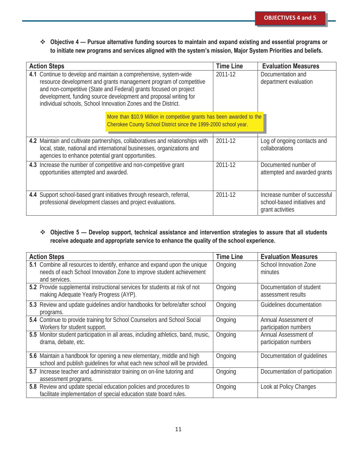**Objective 4 — Pursue alternative funding sources to maintain and expand existing and essential programs or to initiate new programs and services aligned with the system's mission, Major System Priorities and beliefs.**

| <b>Action Steps</b>                                                                                                                                                                                                                                                                                                                              | <b>Time Line</b> | <b>Evaluation Measures</b>                                                        |
|--------------------------------------------------------------------------------------------------------------------------------------------------------------------------------------------------------------------------------------------------------------------------------------------------------------------------------------------------|------------------|-----------------------------------------------------------------------------------|
| 4.1 Continue to develop and maintain a comprehensive, system-wide<br>resource development and grants management program of competitive<br>and non-competitive (State and Federal) grants focused on project<br>development, funding source development and proposal writing for<br>individual schools, School Innovation Zones and the District. | 2011-12          | Documentation and<br>department evaluation                                        |
| More than \$10.9 Million in competitive grants has been awarded to the<br>Cherokee County School District since the 1999-2000 school year.                                                                                                                                                                                                       |                  |                                                                                   |
| 4.2 Maintain and cultivate partnerships, collaboratives and relationships with<br>local, state, national and international businesses, organizations and<br>agencies to enhance potential grant opportunities.                                                                                                                                   | 2011-12          | Log of ongoing contacts and<br>collaborations                                     |
| 4.3 Increase the number of competitive and non-competitive grant<br>opportunities attempted and awarded.                                                                                                                                                                                                                                         | 2011-12          | Documented number of<br>attempted and awarded grants                              |
| 4.4 Support school-based grant initiatives through research, referral,<br>professional development classes and project evaluations.                                                                                                                                                                                                              | 2011-12          | Increase number of successful<br>school-based initiatives and<br>grant activities |

#### **Objective 5 — Develop support, technical assistance and intervention strategies to assure that all students receive adequate and appropriate service to enhance the quality of the school experience.**

| <b>Action Steps</b>                                                                                                                                               | <b>Time Line</b> | <b>Evaluation Measures</b>                     |
|-------------------------------------------------------------------------------------------------------------------------------------------------------------------|------------------|------------------------------------------------|
| 5.1 Combine all resources to identify, enhance and expand upon the unique<br>needs of each School Innovation Zone to improve student achievement<br>and services. | Ongoing          | School Innovation Zone<br>minutes              |
| 5.2 Provide supplemental instructional services for students at risk of not<br>making Adequate Yearly Progress (AYP).                                             | Ongoing          | Documentation of student<br>assessment results |
| 5.3 Review and update quidelines and/or handbooks for before/after school<br>programs.                                                                            | Ongoing          | Guidelines documentation                       |
| 5.4 Continue to provide training for School Counselors and School Social<br>Workers for student support.                                                          | Ongoing          | Annual Assessment of<br>participation numbers  |
| 5.5 Monitor student participation in all areas, including athletics, band, music,<br>drama, debate, etc.                                                          | Ongoing          | Annual Assessment of<br>participation numbers  |
| 5.6 Maintain a handbook for opening a new elementary, middle and high<br>school and publish quidelines for what each new school will be provided.                 | Ongoing          | Documentation of quidelines                    |
| 5.7 Increase teacher and administrator training on on-line tutoring and<br>assessment programs.                                                                   | Ongoing          | Documentation of participation                 |
| 5.8 Review and update special education policies and procedures to<br>facilitate implementation of special education state board rules.                           | Ongoing          | Look at Policy Changes                         |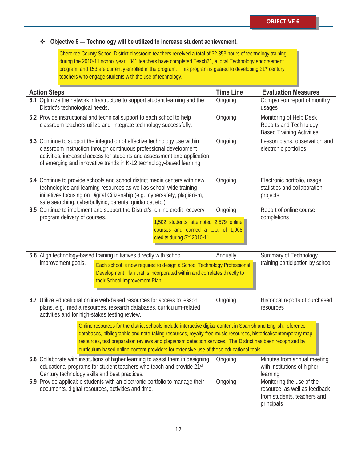### **Objective 6 — Technology will be utilized to increase student achievement.**

Cherokee County School District classroom teachers received a total of 32,853 hours of technology training during the 2010-11 school year. 841 teachers have completed Teach21, a local Technology endorsement program; and 153 are currently enrolled in the program. This program is geared to developing 21st century teachers who engage students with the use of technology.

| <b>Action Steps</b>                                                                                                                                                                                                                                                                                                                                                                                                                       |                                                                                                                                                                                                                                                                                                     | <b>Time Line</b> | <b>Evaluation Measures</b>                                                                              |
|-------------------------------------------------------------------------------------------------------------------------------------------------------------------------------------------------------------------------------------------------------------------------------------------------------------------------------------------------------------------------------------------------------------------------------------------|-----------------------------------------------------------------------------------------------------------------------------------------------------------------------------------------------------------------------------------------------------------------------------------------------------|------------------|---------------------------------------------------------------------------------------------------------|
| 6.1 Optimize the network infrastructure to support student learning and the<br>Ongoing<br>District's technological needs.                                                                                                                                                                                                                                                                                                                 |                                                                                                                                                                                                                                                                                                     |                  | Comparison report of monthly<br>usages                                                                  |
|                                                                                                                                                                                                                                                                                                                                                                                                                                           | 6.2 Provide instructional and technical support to each school to help<br>classroom teachers utilize and integrate technology successfully.                                                                                                                                                         | Ongoing          | Monitoring of Help Desk<br>Reports and Technology<br><b>Based Training Activities</b>                   |
|                                                                                                                                                                                                                                                                                                                                                                                                                                           | 6.3 Continue to support the integration of effective technology use within<br>classroom instruction through continuous professional development<br>activities, increased access for students and assessment and application<br>of emerging and innovative trends in K-12 technology-based learning. | Ongoing          | Lesson plans, observation and<br>electronic portfolios                                                  |
|                                                                                                                                                                                                                                                                                                                                                                                                                                           | 6.4 Continue to provide schools and school district media centers with new<br>technologies and learning resources as well as school-wide training<br>initiatives focusing on Digital Citizenship (e.g., cybersafety, plagiarism,<br>safe searching, cyberbullying, parental guidance, etc.).        | Ongoing          | Electronic portfolio, usage<br>statistics and collaboration<br>projects                                 |
| program delivery of courses.                                                                                                                                                                                                                                                                                                                                                                                                              | 6.5 Continue to implement and support the District's online credit recovery<br>1,502 students attempted 2,579 online<br>courses and earned a total of 1,968<br>credits during SY 2010-11.                                                                                                           | Ongoing          | Report of online course<br>completions                                                                  |
| improvement goals.                                                                                                                                                                                                                                                                                                                                                                                                                        | 6.6 Align technology-based training initiatives directly with school<br>Each school is now required to design a School Technology Professional<br>Development Plan that is incorporated within and correlates directly to<br>their School Improvement Plan.                                         | Annually         | Summary of Technology<br>training participation by school.                                              |
| activities and for high-stakes testing review.                                                                                                                                                                                                                                                                                                                                                                                            | 6.7 Utilize educational online web-based resources for access to lesson<br>plans, e.g., media resources, research databases, curriculum-related                                                                                                                                                     | Ongoing          | Historical reports of purchased<br>resources                                                            |
| Online resources for the district schools include interactive digital content in Spanish and English, reference<br>databases, bibliographic and note-taking resources, royalty-free music resources, historical/contemporary map<br>resources, test preparation reviews and plagiarism detection services. The District has been recognized by<br>curriculum-based online content providers for extensive use of these educational tools. |                                                                                                                                                                                                                                                                                                     |                  |                                                                                                         |
| Century technology skills and best practices.                                                                                                                                                                                                                                                                                                                                                                                             | 6.8 Collaborate with institutions of higher learning to assist them in designing<br>educational programs for student teachers who teach and provide 21st                                                                                                                                            | Ongoing          | Minutes from annual meeting<br>with institutions of higher<br>learning                                  |
|                                                                                                                                                                                                                                                                                                                                                                                                                                           | 6.9 Provide applicable students with an electronic portfolio to manage their<br>documents, digital resources, activities and time.                                                                                                                                                                  | Ongoing          | Monitoring the use of the<br>resource, as well as feedback<br>from students, teachers and<br>principals |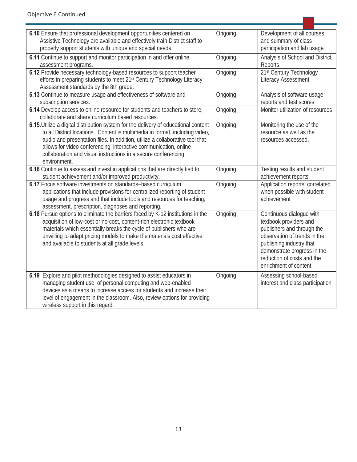| 6.10 Ensure that professional development opportunities centered on<br>Assistive Technology are available and effectively train District staff to                                                                                                                                                                                                                                                         | Ongoing | Development of all courses<br>and summary of class                                                                                                                                                                                  |
|-----------------------------------------------------------------------------------------------------------------------------------------------------------------------------------------------------------------------------------------------------------------------------------------------------------------------------------------------------------------------------------------------------------|---------|-------------------------------------------------------------------------------------------------------------------------------------------------------------------------------------------------------------------------------------|
| properly support students with unique and special needs.                                                                                                                                                                                                                                                                                                                                                  |         | participation and lab usage                                                                                                                                                                                                         |
| 6.11 Continue to support and monitor participation in and offer online                                                                                                                                                                                                                                                                                                                                    | Ongoing | Analysis of School and District                                                                                                                                                                                                     |
| assessment programs.                                                                                                                                                                                                                                                                                                                                                                                      |         | Reports                                                                                                                                                                                                                             |
| 6.12 Provide necessary technology-based resources to support teacher                                                                                                                                                                                                                                                                                                                                      | Ongoing | 21st Century Technology                                                                                                                                                                                                             |
| efforts in preparing students to meet 21 <sup>st</sup> Century Technology Literacy                                                                                                                                                                                                                                                                                                                        |         | <b>Literacy Assessment</b>                                                                                                                                                                                                          |
| Assessment standards by the 8th grade.<br>6.13 Continue to measure usage and effectiveness of software and                                                                                                                                                                                                                                                                                                | Ongoing | Analysis of software usage                                                                                                                                                                                                          |
| subscription services.                                                                                                                                                                                                                                                                                                                                                                                    |         | reports and test scores                                                                                                                                                                                                             |
| 6.14 Develop access to online resource for students and teachers to store,                                                                                                                                                                                                                                                                                                                                | Ongoing | Monitor utilization of resources                                                                                                                                                                                                    |
| collaborate and share curriculum based resources.                                                                                                                                                                                                                                                                                                                                                         |         |                                                                                                                                                                                                                                     |
| 6.15. Utilize a digital distribution system for the delivery of educational content<br>to all District locations. Content is multimedia in format, including video,<br>audio and presentation files. In addition, utilize a collaborative tool that<br>allows for video conferencing, interactive communication, online<br>collaboration and visual instructions in a secure conferencing<br>environment. | Ongoing | Monitoring the use of the<br>resource as well as the<br>resources accessed.                                                                                                                                                         |
| 6.16 Continue to assess and invest in applications that are directly tied to<br>student achievement and/or improved productivity.                                                                                                                                                                                                                                                                         | Ongoing | Testing results and student<br>achievement reports                                                                                                                                                                                  |
| 6.17 Focus software investments on standards-based curriculum<br>applications that include provisions for centralized reporting of student<br>usage and progress and that include tools and resources for teaching,<br>assessment, prescription, diagnoses and reporting.                                                                                                                                 | Ongoing | Application reports correlated<br>when possible with student<br>achievement                                                                                                                                                         |
| 6.18 Pursue options to eliminate the barriers faced by K-12 institutions in the<br>acquisition of low-cost or no-cost, content-rich electronic textbook<br>materials which essentially breaks the cycle of publishers who are<br>unwilling to adapt pricing models to make the materials cost effective<br>and available to students at all grade levels.                                                 | Ongoing | Continuous dialogue with<br>textbook providers and<br>publishers and through the<br>observation of trends in the<br>publishing industry that<br>demonstrate progress in the<br>reduction of costs and the<br>enrichment of content. |
| 6.19 Explore and pilot methodologies designed to assist educators in<br>managing student use of personal computing and web-enabled<br>devices as a means to increase access for students and increase their<br>level of engagement in the classroom. Also, review options for providing<br>wireless support in this regard.                                                                               | Ongoing | Assessing school-based<br>interest and class participation                                                                                                                                                                          |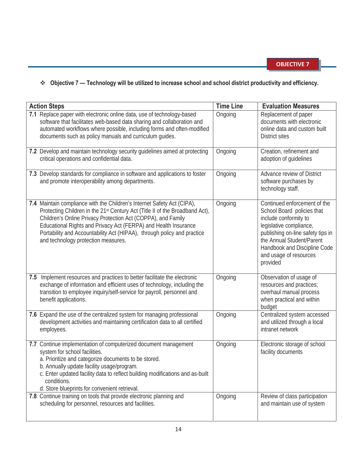### **Objective 7 — Technology will be utilized to increase school and school district productivity and efficiency.**

| <b>Action Steps</b>                                                                                                                                                                                                                                                                                                                                                                                          | <b>Time Line</b> | <b>Evaluation Measures</b>                                                                                                                                                                                                                             |
|--------------------------------------------------------------------------------------------------------------------------------------------------------------------------------------------------------------------------------------------------------------------------------------------------------------------------------------------------------------------------------------------------------------|------------------|--------------------------------------------------------------------------------------------------------------------------------------------------------------------------------------------------------------------------------------------------------|
| 7.1 Replace paper with electronic online data, use of technology-based<br>software that facilitates web-based data sharing and collaboration and<br>automated workflows where possible, including forms and often-modified<br>documents such as policy manuals and curriculum guides.                                                                                                                        | Ongoing          | Replacement of paper<br>documents with electronic<br>online data and custom built<br><b>District sites</b>                                                                                                                                             |
| 7.2 Develop and maintain technology security guidelines aimed at protecting<br>critical operations and confidential data.                                                                                                                                                                                                                                                                                    | Ongoing          | Creation, refinement and<br>adoption of guidelines                                                                                                                                                                                                     |
| 7.3 Develop standards for compliance in software and applications to foster<br>and promote interoperability among departments.                                                                                                                                                                                                                                                                               | Ongoing          | Advance review of District<br>software purchases by<br>technology staff.                                                                                                                                                                               |
| 7.4 Maintain compliance with the Children's Internet Safety Act (CIPA),<br>Protecting Children in the 21st Century Act (Title II of the Broadband Act),<br>Children's Online Privacy Protection Act (COPPA), and Family<br>Educational Rights and Privacy Act (FERPA) and Health Insurance<br>Portability and Accountability Act (HIPAA), through policy and practice<br>and technology protection measures. | Ongoing          | Continued enforcement of the<br>School Board policies that<br>include conformity to<br>legislative compliance,<br>publishing on-line safety tips in<br>the Annual Student/Parent<br>Handbook and Discipline Code<br>and usage of resources<br>provided |
| Implement resources and practices to better facilitate the electronic<br>7.5<br>exchange of information and efficient uses of technology, including the<br>transition to employee inquiry/self-service for payroll, personnel and<br>benefit applications.                                                                                                                                                   | Ongoing          | Observation of usage of<br>resources and practices;<br>overhaul manual process<br>when practical and within<br>budget                                                                                                                                  |
| 7.6 Expand the use of the centralized system for managing professional<br>development activities and maintaining certification data to all certified<br>employees.                                                                                                                                                                                                                                           | Ongoing          | Centralized system accessed<br>and utilized through a local<br>intranet network                                                                                                                                                                        |
| 7.7 Continue implementation of computerized document management<br>system for school facilities.<br>a. Prioritize and categorize documents to be stored.<br>b. Annually update facility usage/program.<br>c. Enter updated facility data to reflect building modifications and as-built<br>conditions.<br>d. Store blueprints for convenient retrieval.                                                      | Ongoing          | Electronic storage of school<br>facility documents                                                                                                                                                                                                     |
| 7.8 Continue training on tools that provide electronic planning and<br>scheduling for personnel, resources and facilities.                                                                                                                                                                                                                                                                                   | Ongoing          | Review of class participation<br>and maintain use of system                                                                                                                                                                                            |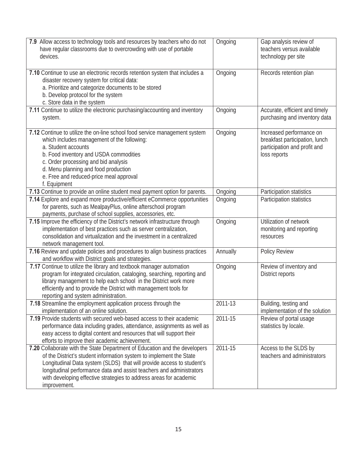| 7.9 Allow access to technology tools and resources by teachers who do not<br>have regular classrooms due to overcrowding with use of portable<br>devices.                                                                                                                                                                                                                                | Ongoing  | Gap analysis review of<br>teachers versus available<br>technology per site                                 |
|------------------------------------------------------------------------------------------------------------------------------------------------------------------------------------------------------------------------------------------------------------------------------------------------------------------------------------------------------------------------------------------|----------|------------------------------------------------------------------------------------------------------------|
| 7.10 Continue to use an electronic records retention system that includes a<br>disaster recovery system for critical data:<br>a. Prioritize and categorize documents to be stored<br>b. Develop protocol for the system<br>c. Store data in the system                                                                                                                                   | Ongoing  | Records retention plan                                                                                     |
| 7.11 Continue to utilize the electronic purchasing/accounting and inventory<br>system.                                                                                                                                                                                                                                                                                                   | Ongoing  | Accurate, efficient and timely<br>purchasing and inventory data                                            |
| 7.12 Continue to utilize the on-line school food service management system<br>which includes management of the following:<br>a. Student accounts<br>b. Food inventory and USDA commodities<br>c. Order processing and bid analysis<br>d. Menu planning and food production<br>e. Free and reduced-price meal approval<br>f. Equipment                                                    | Ongoing  | Increased performance on<br>breakfast participation, lunch<br>participation and profit and<br>loss reports |
| 7.13 Continue to provide an online student meal payment option for parents.                                                                                                                                                                                                                                                                                                              | Ongoing  | Participation statistics                                                                                   |
| 7.14 Explore and expand more productive/efficient eCommerce opportunities<br>for parents, such as MealpayPlus, online afterschool program<br>payments, purchase of school supplies, accessories, etc.                                                                                                                                                                                    | Ongoing  | Participation statistics                                                                                   |
| 7.15 Improve the efficiency of the District's network infrastructure through<br>implementation of best practices such as server centralization,<br>consolidation and virtualization and the investment in a centralized<br>network management tool.                                                                                                                                      | Ongoing  | Utilization of network<br>monitoring and reporting<br>resources                                            |
| 7.16 Review and update policies and procedures to align business practices<br>and workflow with District goals and strategies.                                                                                                                                                                                                                                                           | Annually | Policy Review                                                                                              |
| 7.17 Continue to utilize the library and textbook manager automation<br>program for integrated circulation, cataloging, searching, reporting and<br>library management to help each school in the District work more<br>efficiently and to provide the District with management tools for<br>reporting and system administration.                                                        | Ongoing  | Review of inventory and<br>District reports                                                                |
| 7.18 Streamline the employment application process through the<br>implementation of an online solution.                                                                                                                                                                                                                                                                                  | 2011-13  | Building, testing and<br>implementation of the solution                                                    |
| 7.19 Provide students with secured web-based access to their academic<br>performance data including grades, attendance, assignments as well as<br>easy access to digital content and resources that will support their<br>efforts to improve their academic achievement.                                                                                                                 | 2011-15  | Review of portal usage<br>statistics by locale.                                                            |
| 7.20 Collaborate with the State Department of Education and the developers<br>of the District's student information system to implement the State<br>Longitudinal Data system (SLDS) that will provide access to student's<br>longitudinal performance data and assist teachers and administrators<br>with developing effective strategies to address areas for academic<br>improvement. | 2011-15  | Access to the SLDS by<br>teachers and administrators                                                       |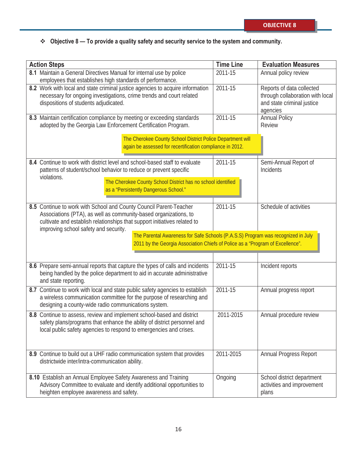### **Objective 8 — To provide a quality safety and security service to the system and community.**

| <b>Action Steps</b>                                                                                                                                                                                                                                                                                                                              | <b>Time Line</b> | <b>Evaluation Measures</b>                                                                              |
|--------------------------------------------------------------------------------------------------------------------------------------------------------------------------------------------------------------------------------------------------------------------------------------------------------------------------------------------------|------------------|---------------------------------------------------------------------------------------------------------|
| 8.1 Maintain a General Directives Manual for internal use by police<br>employees that establishes high standards of performance.                                                                                                                                                                                                                 | 2011-15          | Annual policy review                                                                                    |
| 8.2 Work with local and state criminal justice agencies to acquire information<br>necessary for ongoing investigations, crime trends and court related<br>dispositions of students adjudicated.                                                                                                                                                  | 2011-15          | Reports of data collected<br>through collaboration with local<br>and state criminal justice<br>agencies |
| 8.3 Maintain certification compliance by meeting or exceeding standards<br>adopted by the Georgia Law Enforcement Certification Program.                                                                                                                                                                                                         | 2011-15          | <b>Annual Policy</b><br><b>Review</b>                                                                   |
| The Cherokee County School District Police Department will<br>again be assessed for recertification compliance in 2012.                                                                                                                                                                                                                          |                  |                                                                                                         |
| 8.4 Continue to work with district level and school-based staff to evaluate<br>patterns of student/school behavior to reduce or prevent specific<br>violations.                                                                                                                                                                                  | 2011-15          | Semi-Annual Report of<br>Incidents                                                                      |
| The Cherokee County School District has no school identified<br>as a "Persistently Dangerous School."                                                                                                                                                                                                                                            |                  |                                                                                                         |
| 8.5 Continue to work with School and County Council Parent-Teacher<br>Associations (PTA), as well as community-based organizations, to<br>cultivate and establish relationships that support initiatives related to<br>improving school safety and security.<br>The Parental Awareness for Safe Schools (P.A.S.S) Program was recognized in July | 2011-15          | Schedule of activities                                                                                  |
| 2011 by the Georgia Association Chiefs of Police as a "Program of Excellence".                                                                                                                                                                                                                                                                   |                  |                                                                                                         |
| 8.6 Prepare semi-annual reports that capture the types of calls and incidents<br>being handled by the police department to aid in accurate administrative<br>and state reporting.                                                                                                                                                                | 2011-15          | Incident reports                                                                                        |
| 8.7 Continue to work with local and state public safety agencies to establish<br>a wireless communication committee for the purpose of researching and<br>designing a county-wide radio communications system.                                                                                                                                   | 2011-15          | Annual progress report                                                                                  |
| 8.8 Continue to assess, review and implement school-based and district<br>safety plans/programs that enhance the ability of district personnel and<br>local public safety agencies to respond to emergencies and crises.                                                                                                                         | 2011-2015        | Annual procedure review                                                                                 |
| 8.9 Continue to build out a UHF radio communication system that provides<br>districtwide inter/intra-communication ability.                                                                                                                                                                                                                      | 2011-2015        | Annual Progress Report                                                                                  |
| 8.10 Establish an Annual Employee Safety Awareness and Training<br>Advisory Committee to evaluate and identify additional opportunities to<br>heighten employee awareness and safety.                                                                                                                                                            | Ongoing          | School district department<br>activities and improvement<br>plans                                       |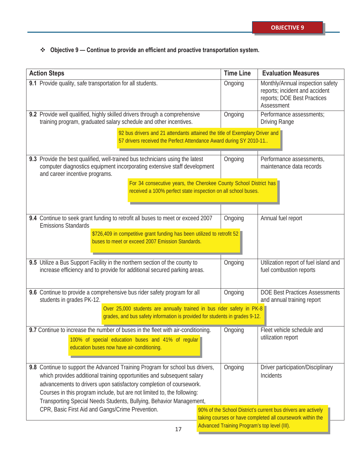## **Objective 9 — Continue to provide an efficient and proactive transportation system.**

| <b>Action Steps</b>                                                                                                                                                                                                                                                                                                                                                              | <b>Time Line</b>                                                                                                                                                                  | <b>Evaluation Measures</b>                                                                                      |  |  |
|----------------------------------------------------------------------------------------------------------------------------------------------------------------------------------------------------------------------------------------------------------------------------------------------------------------------------------------------------------------------------------|-----------------------------------------------------------------------------------------------------------------------------------------------------------------------------------|-----------------------------------------------------------------------------------------------------------------|--|--|
| 9.1 Provide quality, safe transportation for all students.                                                                                                                                                                                                                                                                                                                       | Ongoing                                                                                                                                                                           | Monthly/Annual inspection safety<br>reports; incident and accident<br>reports; DOE Best Practices<br>Assessment |  |  |
| 9.2 Provide well qualified, highly skilled drivers through a comprehensive<br>training program, graduated salary schedule and other incentives.                                                                                                                                                                                                                                  | Ongoing                                                                                                                                                                           | Performance assessments;<br><b>Driving Range</b>                                                                |  |  |
| 92 bus drivers and 21 attendants attained the title of Exemplary Driver and<br>57 drivers received the Perfect Attendance Award during SY 2010-11.                                                                                                                                                                                                                               |                                                                                                                                                                                   |                                                                                                                 |  |  |
| 9.3 Provide the best qualified, well-trained bus technicians using the latest<br>computer diagnostics equipment incorporating extensive staff development<br>and career incentive programs.                                                                                                                                                                                      | Ongoing                                                                                                                                                                           | Performance assessments,<br>maintenance data records                                                            |  |  |
| For 34 consecutive years, the Cherokee County School District has<br>received a 100% perfect state inspection on all school buses.                                                                                                                                                                                                                                               |                                                                                                                                                                                   |                                                                                                                 |  |  |
| 9.4 Continue to seek grant funding to retrofit all buses to meet or exceed 2007<br><b>Emissions Standards</b>                                                                                                                                                                                                                                                                    | Ongoing                                                                                                                                                                           | Annual fuel report                                                                                              |  |  |
| \$726,409 in competitive grant funding has been utilized to retrofit 52<br>buses to meet or exceed 2007 Emission Standards.                                                                                                                                                                                                                                                      |                                                                                                                                                                                   |                                                                                                                 |  |  |
| 9.5 Utilize a Bus Support Facility in the northern section of the county to<br>increase efficiency and to provide for additional secured parking areas.                                                                                                                                                                                                                          | Ongoing                                                                                                                                                                           | Utilization report of fuel island and<br>fuel combustion reports                                                |  |  |
| 9.6 Continue to provide a comprehensive bus rider safety program for all<br>students in grades PK-12.                                                                                                                                                                                                                                                                            | Ongoing                                                                                                                                                                           | <b>DOE Best Practices Assessments</b><br>and annual training report                                             |  |  |
| Over 25,000 students are annually trained in bus rider safety in PK-8<br>grades, and bus safety information is provided for students in grades 9-12.                                                                                                                                                                                                                             |                                                                                                                                                                                   |                                                                                                                 |  |  |
| 9.7 Continue to increase the number of buses in the fleet with air-conditioning.<br>100% of special education buses and 41% of regular<br>education buses now have air-conditioning.                                                                                                                                                                                             | Ongoing                                                                                                                                                                           | Fleet vehicle schedule and<br>utilization report                                                                |  |  |
| 9.8 Continue to support the Advanced Training Program for school bus drivers,<br>which provides additional training opportunities and subsequent salary<br>advancements to drivers upon satisfactory completion of coursework.<br>Courses in this program include, but are not limited to, the following:<br>Transporting Special Needs Students, Bullying, Behavior Management, | Ongoing                                                                                                                                                                           | Driver participation/Disciplinary<br>Incidents                                                                  |  |  |
| CPR, Basic First Aid and Gangs/Crime Prevention.                                                                                                                                                                                                                                                                                                                                 | 90% of the School District's current bus drivers are actively<br>taking courses or have completed all coursework within the<br>Advanced Training Program's top level (III).<br>17 |                                                                                                                 |  |  |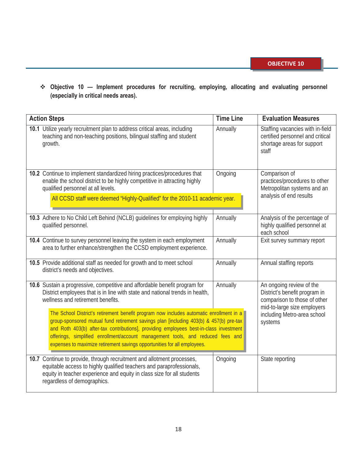**Objective 10 — Implement procedures for recruiting, employing, allocating and evaluating personnel (especially in critical needs areas).** 

| <b>Action Steps</b> |                                                                                                                                                                                                                                                                                                                                                                                                                                            | <b>Time Line</b> | <b>Evaluation Measures</b>                                                                                               |  |  |
|---------------------|--------------------------------------------------------------------------------------------------------------------------------------------------------------------------------------------------------------------------------------------------------------------------------------------------------------------------------------------------------------------------------------------------------------------------------------------|------------------|--------------------------------------------------------------------------------------------------------------------------|--|--|
|                     | 10.1 Utilize yearly recruitment plan to address critical areas, including<br>teaching and non-teaching positions, bilingual staffing and student<br>growth.                                                                                                                                                                                                                                                                                | Annually         | Staffing vacancies with in-field<br>certified personnel and critical<br>shortage areas for support<br>staff              |  |  |
|                     | 10.2 Continue to implement standardized hiring practices/procedures that<br>enable the school district to be highly competitive in attracting highly<br>qualified personnel at all levels.<br>All CCSD staff were deemed "Highly-Qualified" for the 2010-11 academic year.                                                                                                                                                                 | Ongoing          | Comparison of<br>practices/procedures to other<br>Metropolitan systems and an<br>analysis of end results                 |  |  |
|                     | 10.3 Adhere to No Child Left Behind (NCLB) quidelines for employing highly<br>qualified personnel.                                                                                                                                                                                                                                                                                                                                         | Annually         | Analysis of the percentage of<br>highly qualified personnel at<br>each school                                            |  |  |
|                     | 10.4 Continue to survey personnel leaving the system in each employment<br>area to further enhance/strengthen the CCSD employment experience.                                                                                                                                                                                                                                                                                              | Annually         | Exit survey summary report                                                                                               |  |  |
|                     | 10.5 Provide additional staff as needed for growth and to meet school<br>district's needs and objectives.                                                                                                                                                                                                                                                                                                                                  | Annually         | Annual staffing reports                                                                                                  |  |  |
|                     | 10.6 Sustain a progressive, competitive and affordable benefit program for<br>District employees that is in line with state and national trends in health,<br>wellness and retirement benefits.                                                                                                                                                                                                                                            | Annually         | An ongoing review of the<br>District's benefit program in<br>comparison to those of other<br>mid-to-large size employers |  |  |
|                     | The School District's retirement benefit program now includes automatic enrollment in a<br>group-sponsored mutual fund retirement savings plan [including 403(b) & 457(b) pre-tax<br>and Roth 403(b) after-tax contributions], providing employees best-in-class investment<br>offerings, simplified enrollment/account management tools, and reduced fees and<br>expenses to maximize retirement savings opportunities for all employees. |                  | including Metro-area school<br>systems                                                                                   |  |  |
|                     | 10.7 Continue to provide, through recruitment and allotment processes,<br>equitable access to highly qualified teachers and paraprofessionals,<br>equity in teacher experience and equity in class size for all students<br>regardless of demographics.                                                                                                                                                                                    | Ongoing          | State reporting                                                                                                          |  |  |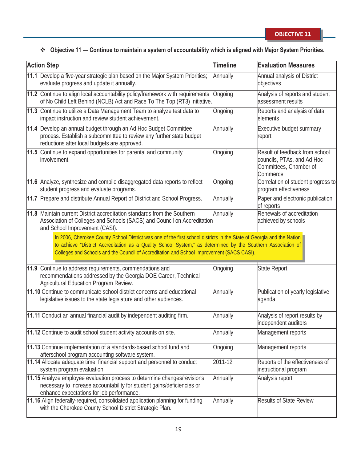## **Objective 11 — Continue to maintain a system of accountability which is aligned with Major System Priorities.**

| <b>Action Step</b>                                                                                                                                                                                                                                                                                                                 | <b>Timeline</b> | <b>Evaluation Measures</b>                                                                         |
|------------------------------------------------------------------------------------------------------------------------------------------------------------------------------------------------------------------------------------------------------------------------------------------------------------------------------------|-----------------|----------------------------------------------------------------------------------------------------|
| 11.1 Develop a five-year strategic plan based on the Major System Priorities;<br>evaluate progress and update it annually.                                                                                                                                                                                                         | Annually        | Annual analysis of District<br>objectives                                                          |
| 11.2 Continue to align local accountability policy/framework with requirements<br>of No Child Left Behind (NCLB) Act and Race To The Top (RT3) Initiative.                                                                                                                                                                         | Ongoing         | Analysis of reports and student<br>assessment results                                              |
| 11.3 Continue to utilize a Data Management Team to analyze test data to<br>impact instruction and review student achievement.                                                                                                                                                                                                      | Ongoing         | Reports and analysis of data<br>elements                                                           |
| 11.4 Develop an annual budget through an Ad Hoc Budget Committee<br>process. Establish a subcommittee to review any further state budget<br>reductions after local budgets are approved.                                                                                                                                           | Annually        | Executive budget summary<br>report                                                                 |
| 11.5 Continue to expand opportunities for parental and community<br>involvement.                                                                                                                                                                                                                                                   | Ongoing         | Result of feedback from school<br>councils, PTAs, and Ad Hoc<br>Committees, Chamber of<br>Commerce |
| 11.6 Analyze, synthesize and compile disaggregated data reports to reflect<br>student progress and evaluate programs.                                                                                                                                                                                                              | Ongoing         | Correlation of student progress to<br>program effectiveness                                        |
| 11.7 Prepare and distribute Annual Report of District and School Progress.                                                                                                                                                                                                                                                         | Annually        | Paper and electronic publication<br>of reports                                                     |
| 11.8 Maintain current District accreditation standards from the Southern<br>Association of Colleges and Schools (SACS) and Council on Accreditation<br>and School Improvement (CASI).                                                                                                                                              | Annually        | Renewals of accreditation<br>achieved by schools                                                   |
| In 2006, Cherokee County School District was one of the first school districts in the State of Georgia and the Nation<br>to achieve "District Accreditation as a Quality School System," as determined by the Southern Association of<br>Colleges and Schools and the Council of Accreditation and School Improvement (SACS CASI). |                 |                                                                                                    |
| 11.9 Continue to address requirements, commendations and<br>recommendations addressed by the Georgia DOE Career, Technical<br>Agricultural Education Program Review.                                                                                                                                                               | Ongoing         | State Report                                                                                       |
| 11.10 Continue to communicate school district concerns and educational<br>legislative issues to the state legislature and other audiences.                                                                                                                                                                                         | Annually        | Publication of yearly legislative<br>agenda                                                        |
| 11.11 Conduct an annual financial audit by independent auditing firm.                                                                                                                                                                                                                                                              | Annually        | Analysis of report results by<br>independent auditors                                              |
| 11.12 Continue to audit school student activity accounts on site.                                                                                                                                                                                                                                                                  | Annually        | Management reports                                                                                 |
| 11.13 Continue implementation of a standards-based school fund and<br>afterschool program accounting software system.                                                                                                                                                                                                              | Ongoing         | Management reports                                                                                 |
| 11.14 Allocate adequate time, financial support and personnel to conduct<br>system program evaluation.                                                                                                                                                                                                                             | 2011-12         | Reports of the effectiveness of<br>instructional program                                           |
| 11.15 Analyze employee evaluation process to determine changes/revisions<br>necessary to increase accountability for student gains/deficiencies or<br>enhance expectations for job performance.                                                                                                                                    | Annually        | Analysis report                                                                                    |
| 11.16 Align federally-required, consolidated application planning for funding<br>with the Cherokee County School District Strategic Plan.                                                                                                                                                                                          | Annually        | <b>Results of State Review</b>                                                                     |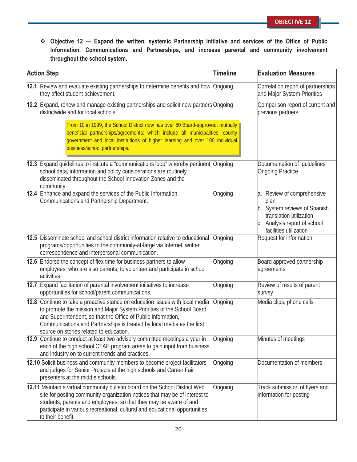**Objective 12 — Expand the written, systemic Partnership Initiative and services of the Office of Public Information, Communications and Partnerships, and increase parental and community involvement throughout the school system.**

| <b>Action Step</b>                                                                                                                                                                                                                                                                                                                            | <b>Timeline</b> | <b>Evaluation Measures</b>                                                                                                                              |
|-----------------------------------------------------------------------------------------------------------------------------------------------------------------------------------------------------------------------------------------------------------------------------------------------------------------------------------------------|-----------------|---------------------------------------------------------------------------------------------------------------------------------------------------------|
| 12.1 Review and evaluate existing partnerships to determine benefits and how Ongoing<br>they affect student achievement.                                                                                                                                                                                                                      |                 | Correlation report of partnerships<br>and Major System Priorities                                                                                       |
| 12.2 Expand, renew and manage existing partnerships and solicit new partners Ongoing<br>districtwide and for local schools.                                                                                                                                                                                                                   |                 | Comparison report of current and<br>previous partners                                                                                                   |
| From 10 in 1999, the School District now has over 80 Board-approved, mutually<br>beneficial partnerships/agreements: which include all municipalities, county<br>government and local institutions of higher learning and over 100 individual<br>business/school partnerships.                                                                |                 |                                                                                                                                                         |
| 12.3 Expand guidelines to institute a "communications loop" whereby pertinent Ongoing<br>school data, information and policy considerations are routinely<br>disseminated throughout the School Innovation Zones and the<br>community.                                                                                                        |                 | Documentation of guidelines<br><b>Ongoing Practice</b>                                                                                                  |
| 12.4 Enhance and expand the services of the Public Information,<br>Communications and Partnership Department.                                                                                                                                                                                                                                 | Ongoing         | a. Review of comprehensive<br>plan<br>b. System reviews of Spanish<br>translation utilization<br>c. Analysis report of school<br>facilities utilization |
| 12.5 Disseminate school and school district information relative to educational<br>programs/opportunities to the community-at-large via Internet, written<br>correspondence and interpersonal communication.                                                                                                                                  | Ongoing         | Request for information                                                                                                                                 |
| 12.6 Endorse the concept of flex time for business partners to allow<br>employees, who are also parents, to volunteer and participate in school<br>activities.                                                                                                                                                                                | Ongoing         | Board approved partnership<br>agreements                                                                                                                |
| 12.7 Expand facilitation of parental involvement initiatives to increase<br>opportunities for school/parent communications.                                                                                                                                                                                                                   | Ongoing         | Review of results of parent<br>survey                                                                                                                   |
| 12.8 Continue to take a proactive stance on education issues with local media<br>to promote the mission and Major System Priorities of the School Board<br>and Superintendent, so that the Office of Public Information,<br>Communications and Partnerships is treated by local media as the first<br>source on stories related to education. | Ongoing         | Media clips, phone calls                                                                                                                                |
| 12.9 Continue to conduct at least two advisory committee meetings a year in<br>each of the high school CTAE program areas to gain input from business<br>and industry on to current trends and practices.                                                                                                                                     | Ongoing         | Minutes of meetings                                                                                                                                     |
| 12.10 Solicit business and community members to become project facilitators<br>and judges for Senior Projects at the high schools and Career Fair<br>presenters at the middle schools.                                                                                                                                                        | Ongoing         | Documentation of members                                                                                                                                |
| 12.11 Maintain a virtual community bulletin board on the School District Web<br>site for posting community organization notices that may be of interest to<br>students, parents and employees, so that they may be aware of and<br>participate in various recreational, cultural and educational opportunities<br>to their benefit.           | Ongoing         | Track submission of flyers and<br>information for posting                                                                                               |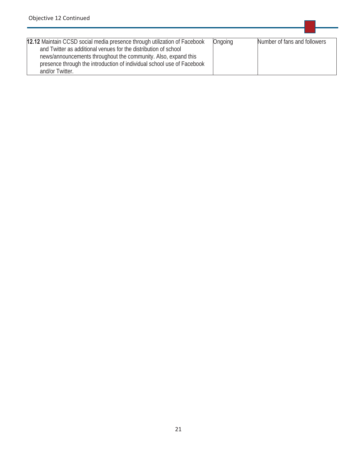| 12.12 Maintain CCSD social media presence through utilization of Facebook<br>and Twitter as additional venues for the distribution of school<br>news/announcements throughout the community. Also, expand this<br>presence through the introduction of individual school use of Facebook | Ongoing | Number of fans and followers |
|------------------------------------------------------------------------------------------------------------------------------------------------------------------------------------------------------------------------------------------------------------------------------------------|---------|------------------------------|
| and/or Twitter.                                                                                                                                                                                                                                                                          |         |                              |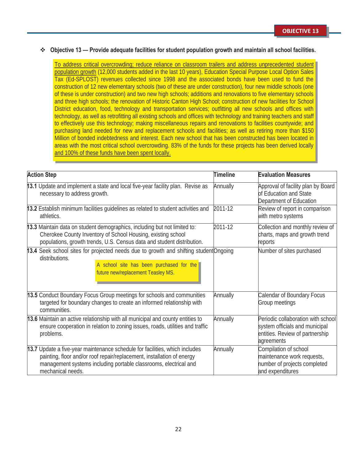#### **Objective 13 — Provide adequate facilities for student population growth and maintain all school facilities.**

To address critical overcrowding; reduce reliance on classroom trailers and address unprecedented student population growth (12,000 students added in the last 10 years), Education Special Purpose Local Option Sales Tax (Ed-SPLOST) revenues collected since 1998 and the associated bonds have been used to fund the construction of 12 new elementary schools (two of these are under construction), four new middle schools (one of these is under construction) and two new high schools; additions and renovations to five elementary schools and three high schools; the renovation of Historic Canton High School; construction of new facilities for School District education, food, technology and transportation services; outfitting all new schools and offices with technology, as well as retrofitting all existing schools and offices with technology and training teachers and staff to effectively use this technology; making miscellaneous repairs and renovations to facilities countywide; and purchasing land needed for new and replacement schools and facilities; as well as retiring more than \$150 Million of bonded indebtedness and interest. Each new school that has been constructed has been located in areas with the most critical school overcrowding. 83% of the funds for these projects has been derived locally and 100% of these funds have been spent locally.

| <b>Action Step</b>                                                                                                                                                                                                                             | <b>Timeline</b> | <b>Evaluation Measures</b>                                                                                            |
|------------------------------------------------------------------------------------------------------------------------------------------------------------------------------------------------------------------------------------------------|-----------------|-----------------------------------------------------------------------------------------------------------------------|
| 13.1 Update and implement a state and local five-year facility plan. Revise as<br>necessary to address growth.                                                                                                                                 | Annually        | Approval of facility plan by Board<br>of Education and State<br>Department of Education                               |
| 13.2 Establish minimum facilities guidelines as related to student activities and<br>athletics.                                                                                                                                                | 2011-12         | Review of report in comparison<br>with metro systems                                                                  |
| 13.3 Maintain data on student demographics, including but not limited to:<br>Cherokee County Inventory of School Housing, existing school<br>populations, growth trends, U.S. Census data and student distribution.                            | 2011-12         | Collection and monthly review of<br>charts, maps and growth trend<br>reports                                          |
| 13.4 Seek school sites for projected needs due to growth and shifting student Ongoing<br>distributions.<br>A school site has been purchased for the<br>future new/replacement Teasley MS.                                                      |                 | Number of sites purchased                                                                                             |
| 13.5 Conduct Boundary Focus Group meetings for schools and communities<br>targeted for boundary changes to create an informed relationship with<br>communities.                                                                                | Annually        | <b>Calendar of Boundary Focus</b><br>Group meetings                                                                   |
| 13.6 Maintain an active relationship with all municipal and county entities to<br>ensure cooperation in relation to zoning issues, roads, utilities and traffic<br>problems.                                                                   | Annually        | Periodic collaboration with school<br>system officials and municipal<br>entities. Review of partnership<br>agreements |
| 13.7 Update a five-year maintenance schedule for facilities, which includes<br>painting, floor and/or roof repair/replacement, installation of energy<br>management systems including portable classrooms, electrical and<br>mechanical needs. | Annually        | Compilation of school<br>maintenance work requests,<br>number of projects completed<br>and expenditures               |